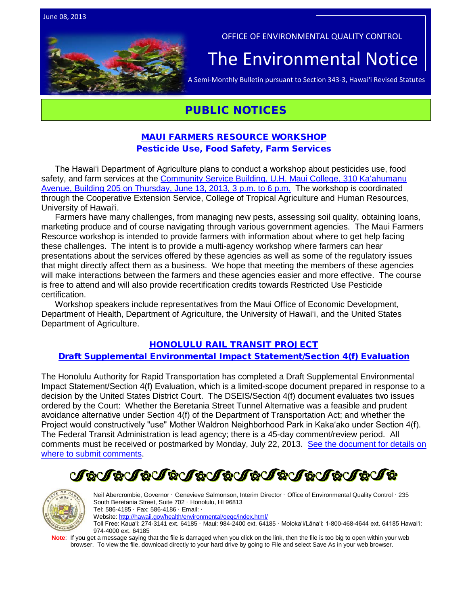OFFICE OF ENVIRONMENTAL QUALITY CONTROL The Environmental Notice  $|\Gamma_{\text{A semi-Monthly Bulletin pursuit to Section 343-3, Hawaii' Revised Statutes}}$ 

## PUBLIC NOTICES

### [MAUI FARMERS RESOURCE WORKSHOP](http://oeqc.doh.hawaii.gov/Shared%20Documents/EA_and_EIS_Online_Library/Non-343-EA-EIS-Notices/2013-06-08-Public-Notice-Maui-Farmer-Resource-Workshop-Flyer-and-Agenda.pdf) [Pesticide Use, Food Safety, Farm Services](http://oeqc.doh.hawaii.gov/Shared%20Documents/EA_and_EIS_Online_Library/Non-343-EA-EIS-Notices/2013-06-08-Public-Notice-Maui-Farmer-Resource-Workshop-Flyer-and-Agenda.pdf)

The Hawaiʻi Department of Agriculture plans to conduct a workshop about pesticides use, food safety, and farm services at the [Community Service Building, U.H.](http://oeqc.doh.hawaii.gov/Shared%20Documents/EA_and_EIS_Online_Library/Non-343-EA-EIS-Notices/2013-06-08-Public-Notice-Maui-Farmer-Resource-Workshop-Flyer-and-Agenda.pdf) Maui College, 310 Kaʻahumanu [Avenue, Building 205 on Thursday, June 13, 2013, 3 p.m. to 6 p.m.](http://oeqc.doh.hawaii.gov/Shared%20Documents/EA_and_EIS_Online_Library/Non-343-EA-EIS-Notices/2013-06-08-Public-Notice-Maui-Farmer-Resource-Workshop-Flyer-and-Agenda.pdf) The workshop is coordinated through the Cooperative Extension Service, College of Tropical Agriculture and Human Resources, University of Hawai'i.

Farmers have many challenges, from managing new pests, assessing soil quality, obtaining loans, marketing produce and of course navigating through various government agencies. The Maui Farmers Resource workshop is intended to provide farmers with information about where to get help facing these challenges. The intent is to provide a multi-agency workshop where farmers can hear presentations about the services offered by these agencies as well as some of the regulatory issues that might directly affect them as a business. We hope that meeting the members of these agencies will make interactions between the farmers and these agencies easier and more effective. The course is free to attend and will also provide recertification credits towards Restricted Use Pesticide certification.

Workshop speakers include representatives from the Maui Office of Economic Development, Department of Health, Department of Agriculture, the University of Hawaiʻi, and the United States Department of Agriculture.

#### HONOLULU [RAIL TRANSIT PROJECT](http://oeqc.doh.hawaii.gov/Shared%20Documents/EA_and_EIS_Online_Library/NEPA%20and%20Other%20Documents/2013-06-08-OA-5B-NEPA-DSEIS-Honolulu-Rail-Transit-Project-Section-4(f).pdf)

#### [Draft Supplemental Environmental Impact Statement/Section 4\(f\) Evaluation](http://oeqc.doh.hawaii.gov/Shared%20Documents/EA_and_EIS_Online_Library/NEPA%20and%20Other%20Documents/2013-06-08-OA-5B-NEPA-DSEIS-Honolulu-Rail-Transit-Project-Section-4(f).pdf)

The Honolulu Authority for Rapid Transportation has completed a Draft Supplemental Environmental Impact Statement/Section 4(f) Evaluation, which is a limited-scope document prepared in response to a decision by the United States District Court. The DSEIS/Section 4(f) document evaluates two issues ordered by the Court: Whether the Beretania Street Tunnel Alternative was a feasible and prudent avoidance alternative under Section 4(f) of the Department of Transportation Act; and whether the Project would constructively "use" Mother Waldron Neighborhood Park in Kakaʻako under Section 4(f). The Federal Transit Administration is lead agency; there is a 45-day comment/review period. All comments must be received or postmarked by Monday, July 22, 2013. [See the document for details on](http://oeqc.doh.hawaii.gov/Shared%20Documents/EA_and_EIS_Online_Library/NEPA%20and%20Other%20Documents/2013-06-08-OA-5B-NEPA-DSEIS-Honolulu-Rail-Transit-Project-Section-4(f).pdf)  [where to submit comments.](http://oeqc.doh.hawaii.gov/Shared%20Documents/EA_and_EIS_Online_Library/NEPA%20and%20Other%20Documents/2013-06-08-OA-5B-NEPA-DSEIS-Honolulu-Rail-Transit-Project-Section-4(f).pdf)

## **oUcleVoUcLeUcLeUcLeUcLeUcLeUc**



Neil Abercrombie, Governor · Genevieve Salmonson, Interim Director · Office of Environmental Quality Control · 235 South Beretania Street, Suite 702 · Honolulu, HI 96813 Tel: 586-4185 · Fax: 586-4186 · Email: · Website[: http://hawaii.gov/health/environmental/oeqc/index.html/](http://hawaii.gov/health/environmental/oeqc/index.html/) Toll Free: Kauaʻi: 274-3141 ext. 64185 · Maui: 984-2400 ext. 64185 · Molokaʻi/Lānaʻi: 1-800-468-4644 ext. 64185 Hawaiʻi: 974-4000 ext. 64185

Note: If you get a message saying that the file is damaged when you click on the link, then the file is too big to open within your web browser. To view the file, download directly to your hard drive by going to File and select Save As in your web browser.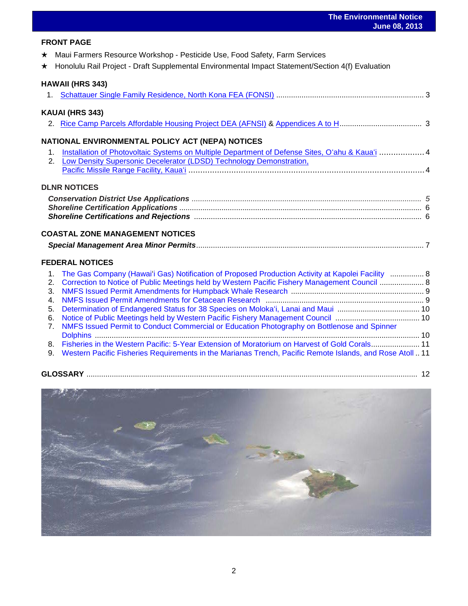#### **FRONT PAGE**

- ★ Maui Farmers Resource Workshop Pesticide Use, Food Safety, Farm Services
- ★ Honolulu Rail Project Draft Supplemental Environmental Impact Statement/Section 4(f) Evaluation

#### **HAWAII (HRS 343)**

|             | KAUAI (HRS 343)                                                                                   |  |
|-------------|---------------------------------------------------------------------------------------------------|--|
|             |                                                                                                   |  |
|             | NATIONAL ENVIRONMENTAL POLICY ACT (NEPA) NOTICES                                                  |  |
| $1_{-}$     | Installation of Photovoltaic Systems on Multiple Department of Defense Sites, O'ahu & Kaua'i  4   |  |
| 2.          | Low Density Supersonic Decelerator (LDSD) Technology Demonstration,                               |  |
|             |                                                                                                   |  |
|             | <b>DLNR NOTICES</b>                                                                               |  |
|             |                                                                                                   |  |
|             |                                                                                                   |  |
|             |                                                                                                   |  |
|             |                                                                                                   |  |
|             | <b>COASTAL ZONE MANAGEMENT NOTICES</b>                                                            |  |
|             |                                                                                                   |  |
|             | <b>FEDERAL NOTICES</b>                                                                            |  |
| $1_{\cdot}$ | The Gas Company (Hawai'i Gas) Notification of Proposed Production Activity at Kapolei Facility  8 |  |
| 2.          |                                                                                                   |  |
|             | Correction to Notice of Public Meetings held by Western Pacific Fishery Management Council  8     |  |
| 3.          |                                                                                                   |  |
| 4.          |                                                                                                   |  |
| 5.          |                                                                                                   |  |
| 6.          | 7 NMES Issued Permit to Conduct Commercial or Education Photography on Bottlenose and Spinner     |  |
|             |                                                                                                   |  |

- 7. [NMFS Issued Permit to Conduct Commercial or Education Photography on Bottlenose and Spinner](http://www.gpo.gov/fdsys/pkg/FR-2013-06-05/pdf/2013-13289.pdf)  [Dolphins .](http://www.gpo.gov/fdsys/pkg/FR-2013-06-05/pdf/2013-13289.pdf)......................................................................................................................................................... 10 8. [Fisheries in the Western Pacific: 5-Year Extension of Moratorium on Harvest of Gold Corals.](http://www.gpo.gov/fdsys/pkg/FR-2013-05-29/pdf/2013-12743.pdf)...................... 11
- 9. [Western Pacific Fisheries Requirements in the Marianas Trench, Pacific Remote Islands, and Rose Atoll](http://www.gpo.gov/fdsys/pkg/FR-2013-06-03/pdf/2013-13113.pdf) .. 11



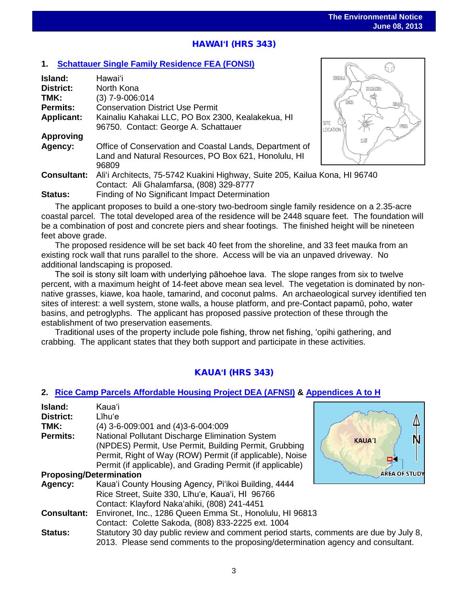63

 $\mathbb{R}$ 

# HAWAI**ʻ**I (HRS 343)

#### **1. [Schattauer Single Family Residence FEA \(FONSI\)](http://oeqc.doh.hawaii.gov/Shared%20Documents/EA_and_EIS_Online_Library/Hawaii/2010s/2013-06-08-HI-5E-FEA-Schattauer-Single-Family-Residence-North-Kona.pdf)**

| Island:            | Hawaiʻi                                                                     | <b>KOHAL</b>                   |
|--------------------|-----------------------------------------------------------------------------|--------------------------------|
| <b>District:</b>   | North Kona                                                                  | HAMAR                          |
| TMK:               | (3) 7-9-006:014                                                             |                                |
| <b>Permits:</b>    | <b>Conservation District Use Permit</b>                                     |                                |
| <b>Applicant:</b>  | Kainaliu Kahakai LLC, PO Box 2300, Kealakekua, HI                           |                                |
|                    | 96750. Contact: George A. Schattauer                                        | <b>SITE</b><br><b>LOCATION</b> |
| <b>Approving</b>   |                                                                             |                                |
| Agency:            | Office of Conservation and Coastal Lands, Department of                     |                                |
|                    | Land and Natural Resources, PO Box 621, Honolulu, HI                        |                                |
|                    | 96809                                                                       |                                |
| <b>Consultant:</b> | Ali'i Architects, 75-5742 Kuakini Highway, Suite 205, Kailua Kona, HI 96740 |                                |
|                    | Contact: Ali Ghalamfarsa, (808) 329-8777                                    |                                |
| Status:            | Finding of No Significant Impact Determination                              |                                |

The applicant proposes to build a one-story two-bedroom single family residence on a 2.35-acre coastal parcel. The total developed area of the residence will be 2448 square feet. The foundation will be a combination of post and concrete piers and shear footings. The finished height will be nineteen feet above grade.

The proposed residence will be set back 40 feet from the shoreline, and 33 feet mauka from an existing rock wall that runs parallel to the shore. Access will be via an unpaved driveway. No additional landscaping is proposed.

The soil is stony silt loam with underlying pāhoehoe lava. The slope ranges from six to twelve percent, with a maximum height of 14-feet above mean sea level. The vegetation is dominated by nonnative grasses, kiawe, koa haole, tamarind, and coconut palms. An archaeological survey identified ten sites of interest: a well system, stone walls, a house platform, and pre-Contact papamū, poho, water basins, and petroglyphs. The applicant has proposed passive protection of these through the establishment of two preservation easements.

Traditional uses of the property include pole fishing, throw net fishing, ʻopihi gathering, and crabbing. The applicant states that they both support and participate in these activities.

#### KAUA**ʻ**I (HRS 343)

#### **2. [Rice Camp Parcels Affordable Housing Project](http://oeqc.doh.hawaii.gov/Shared%20Documents/EA_and_EIS_Online_Library/Kauai/2010s/2013-06-08-KA-5E-DEA-Rice-Camp-Parcels-Affordable-Housing-Project.pdf) DEA (AFNSI) & [Appendices A to](http://oeqc.doh.hawaii.gov/Shared%20Documents/EA_and_EIS_Online_Library/Kauai/2010s/2013-06-08-KA-5E-DEA-Rice-Camp-Parcels-Affordable-Housing-Project-Appendices-A-to-H.pdf) H**

| Island:<br>District:<br>TMK:<br><b>Permits:</b> | Kaua'i<br>Līhu'e<br>(4) 3-6-009:001 and (4) 3-6-004:009<br>National Pollutant Discharge Elimination System<br>(NPDES) Permit, Use Permit, Building Permit, Grubbing<br>Permit, Right of Way (ROW) Permit (if applicable), Noise<br>Permit (if applicable), and Grading Permit (if applicable) | <b>KAUA'I</b>        |  |  |  |
|-------------------------------------------------|-----------------------------------------------------------------------------------------------------------------------------------------------------------------------------------------------------------------------------------------------------------------------------------------------|----------------------|--|--|--|
| <b>Proposing/Determination</b>                  |                                                                                                                                                                                                                                                                                               | <b>AREA OF STUDY</b> |  |  |  |
| Agency:                                         | Kaua'i County Housing Agency, Pi'ikoi Building, 4444<br>Rice Street, Suite 330, Līhu'e, Kaua'i, HI 96766<br>Contact: Klayford Naka'ahiki, (808) 241-4451                                                                                                                                      |                      |  |  |  |
| <b>Consultant:</b>                              | Environet, Inc., 1286 Queen Emma St., Honolulu, HI 96813<br>Contact: Colette Sakoda, (808) 833-2225 ext. 1004                                                                                                                                                                                 |                      |  |  |  |
| <b>Status:</b>                                  | Statutory 30 day public review and comment period starts, comments are due by July 8,<br>2013. Please send comments to the proposing/determination agency and consultant.                                                                                                                     |                      |  |  |  |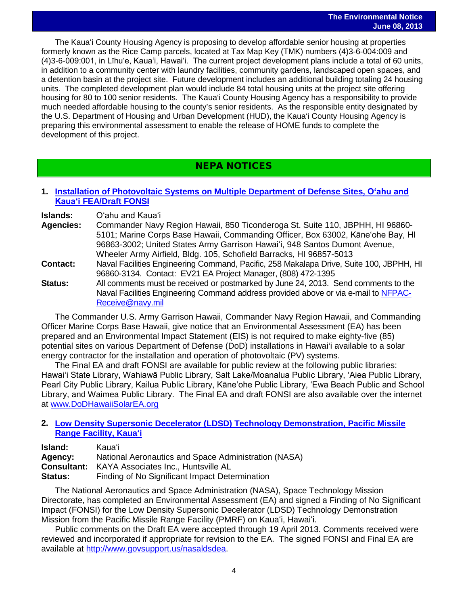The Kaua'i County Housing Agency is proposing to develop affordable senior housing at properties formerly known as the Rice Camp parcels, located at Tax Map Key (TMK) numbers (4)3-6-004:009 and (4)3-6-009:001, in Līhu'e, Kaua'i, Hawai'i. The current project development plans include a total of 60 units, in addition to a community center with laundry facilities, community gardens, landscaped open spaces, and a detention basin at the project site. Future development includes an additional building totaling 24 housing units. The completed development plan would include 84 total housing units at the project site offering housing for 80 to 100 senior residents. The Kaua'i County Housing Agency has a responsibility to provide much needed affordable housing to the county's senior residents. As the responsible entity designated by the U.S. Department of Housing and Urban Development (HUD), the Kaua'i County Housing Agency is preparing this environmental assessment to enable the release of HOME funds to complete the development of this project.

### NEPA NOTICES

#### **1. [Installation of Photovoltaic Systems on Multiple Department of Defense Sites](http://oeqc.doh.hawaii.gov/Shared%20Documents/EA_and_EIS_Online_Library/NEPA%20and%20Other%20Documents/2013-06-08-NEPA-FEA-Hawaii-Joint-Services-Solar-Power-Generartion-Oahu-and-Kauai.pdf), Oʻahu and Kauaʻi [FEA/Draft FONSI](http://oeqc.doh.hawaii.gov/Shared%20Documents/EA_and_EIS_Online_Library/NEPA%20and%20Other%20Documents/2013-06-08-NEPA-FEA-Hawaii-Joint-Services-Solar-Power-Generartion-Oahu-and-Kauai.pdf)**

**Islands:** Oʻahu and Kauaʻi

- **Agencies:** Commander Navy Region Hawaii, 850 Ticonderoga St. Suite 110, JBPHH, HI 96860- 5101; Marine Corps Base Hawaii, Commanding Officer, Box 63002, Kāne'ohe Bay, HI 96863-3002; United States Army Garrison Hawaiʻi, 948 Santos Dumont Avenue, Wheeler Army Airfield, Bldg. 105, Schofield Barracks, HI 96857-5013
- **Contact:** Naval Facilities Engineering Command, Pacific, 258 Makalapa Drive, Suite 100, JBPHH, HI 96860-3134. Contact: EV21 EA Project Manager, (808) 472-1395
- **Status:** All comments must be received or postmarked by June 24, 2013. Send comments to the Naval Facilities Engineering Command address provided above or via e-mail to [NFPAC-](mailto:NFPAC-Receive@navy.mil)[Receive@navy.mil](mailto:NFPAC-Receive@navy.mil)

The Commander U.S. Army Garrison Hawaii, Commander Navy Region Hawaii, and Commanding Officer Marine Corps Base Hawaii, give notice that an Environmental Assessment (EA) has been prepared and an Environmental Impact Statement (EIS) is not required to make eighty-five (85) potential sites on various Department of Defense (DoD) installations in Hawai'i available to a solar energy contractor for the installation and operation of photovoltaic (PV) systems.

The Final EA and draft FONSI are available for public review at the following public libraries: Hawai'i State Library, Wahiawā Public Library, Salt Lake/Moanalua Public Library, 'Aiea Public Library, Pearl City Public Library, Kailua Public Library, Kāne'ohe Public Library, 'Ewa Beach Public and School Library, and Waimea Public Library. The Final EA and draft FONSI are also available over the internet at [www.DoDHawaiiSolarEA.org](http://www.dodhawaiisolarea.org/)

#### **2. [Low Density Supersonic Decelerator \(LDSD\) Technology](http://www.govsupport.us/nasaldsdea/) Demonstration, Pacific Missile Range [Facility, Kaua](http://www.govsupport.us/nasaldsdea/)ʻi**

| Island:            | Kauaʻi                                               |
|--------------------|------------------------------------------------------|
| Agency:            | National Aeronautics and Space Administration (NASA) |
| <b>Consultant:</b> | KAYA Associates Inc., Huntsville AL                  |
| <b>Status:</b>     | Finding of No Significant Impact Determination       |

The National Aeronautics and Space Administration (NASA), Space Technology Mission Directorate, has completed an Environmental Assessment (EA) and signed a Finding of No Significant Impact (FONSI) for the Low Density Supersonic Decelerator (LDSD) Technology Demonstration Mission from the Pacific Missile Range Facility (PMRF) on Kauaʻi, Hawaiʻi.

Public comments on the Draft EA were accepted through 19 April 2013. Comments received were reviewed and incorporated if appropriate for revision to the EA. The signed FONSI and Final EA are available at [http://www.govsupport.us/nasaldsdea.](http://www.govsupport.us/nasaldsdea)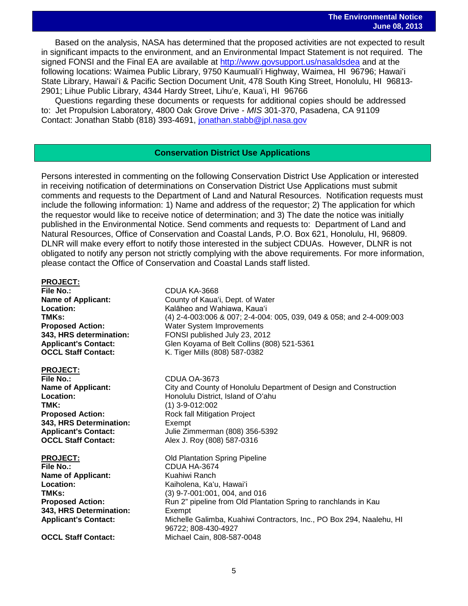Based on the analysis, NASA has determined that the proposed activities are not expected to result in significant impacts to the environment, and an Environmental Impact Statement is not required. The signed FONSI and the Final EA are available at<http://www.govsupport.us/nasaldsdea> and at the following locations: Waimea Public Library, 9750 Kaumualiʻi Highway, Waimea, HI 96796; Hawaiʻi State Library, Hawaiʻi & Pacific Section Document Unit, 478 South King Street, Honolulu, HI 96813- 2901; Lihue Public Library, 4344 Hardy Street, Lihuʻe, Kauaʻi, HI 96766

Questions regarding these documents or requests for additional copies should be addressed to: Jet Propulsion Laboratory, 4800 Oak Grove Drive - *MIS* 301-370, Pasadena, CA 91109 Contact: Jonathan Stabb (818) 393-4691, [jonathan.stabb@jpl.nasa.gov](mailto:jonathan.stabb@jpl.nasa.gov)

#### **Conservation District Use Applications**

Persons interested in commenting on the following Conservation District Use Application or interested in receiving notification of determinations on Conservation District Use Applications must submit comments and requests to the Department of Land and Natural Resources. Notification requests must include the following information: 1) Name and address of the requestor; 2) The application for which the requestor would like to receive notice of determination; and 3) The date the notice was initially published in the Environmental Notice. Send comments and requests to: Department of Land and Natural Resources, Office of Conservation and Coastal Lands, P.O. Box 621, Honolulu, HI, 96809. DLNR will make every effort to notify those interested in the subject CDUAs. However, DLNR is not obligated to notify any person not strictly complying with the above requirements. For more information, please contact the Office of Conservation and Coastal Lands staff listed.

## PROJECT:<br>File No.:

**Location:** Kalāheo and Wahiawa, Kauaʻi<br>**TMKs:** (4) 2-4-003:006 & 007: 2-4-004 **OCCL Staff Contact:** K. Tiger Mills (808) 587-0382

## PROJECT:<br>File No.:

**File No.:** CDUA OA-3673<br> **Name of Applicant:** City and County **TMK:** (1) 3-9-012:002 **343, HRS Determination:** Exempt<br> **Applicant's Contact:** Julie Zin

**Name of Applicant: Location:** Kaiholena, Kaʻu, Hawaiʻi **343, HRS Determination:** Exempt

## **File No.:** CDUA KA-3668 **Name of Applicant:** County of Kaua<sup>t</sup>i, Dept. of Water<br>
Location: Kalāheo and Wahiawa. Kaua<sup>t</sup>i

**TMKs:** (4) 2-4-003:006 & 007; 2-4-004: 005, 039, 049 & 058; and 2-4-009:003<br>**Proposed Action:** Water System Improvements **Proposed Action:** Water System Improvements<br>**343, HRS determination:** FONSI published July 23, 201 **343, HRS determination:** FONSI published July 23, 2012 **Applicant's Contact:** Glen Koyama of Belt Collins (808) 521-5361

**Name of Applicant:** City and County of Honolulu Department of Design and Construction<br>
Location: Honolulu District. Island of O'ahu **Location:** Honolulu District, Island of Oʻahu **Proposed Action:** Rock fall Mitigation Project **Applicant's Contact:** Julie Zimmerman (808) 356-5392 **OCCL Staff Contact:** Alex J. Roy (808) 587-0316

### **PROJECT:**<br> **File No.:** CDUA HA-3674 **CDUA HA-3674**<br>Kuahiwi Ranch **TMKs:** (3) 9-7-001:001, 004, and 016<br> **Proposed Action:** Run 2" pipeline from Old Plant Run 2" pipeline from Old Plantation Spring to ranchlands in Kau **Applicant's Contact:** Michelle Galimba, Kuahiwi Contractors, Inc., PO Box 294, Naalehu, HI 96722; 808-430-4927 **OCCL Staff Contact:** Michael Cain, 808-587-0048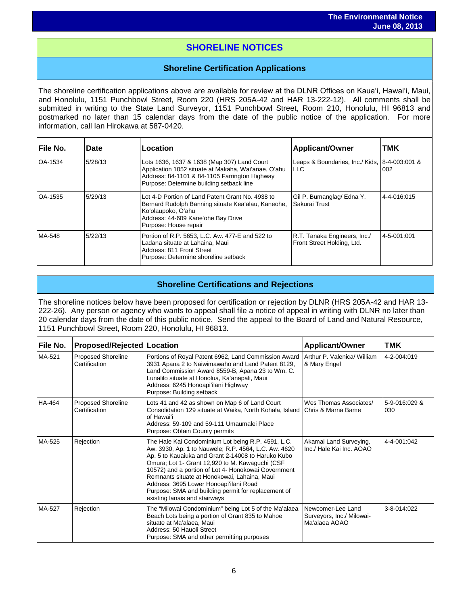## $\overline{\phantom{a}}$ **SHORELINE NOTICES**

#### **Shoreline Certification Applications**

The shoreline certification applications above are available for review at the DLNR Offices on Kauaʻi, Hawaiʻi, Maui, and Honolulu, 1151 Punchbowl Street, Room 220 (HRS 205A-42 and HAR 13-222-12). All comments shall be submitted in writing to the State Land Surveyor, 1151 Punchbowl Street, Room 210, Honolulu, HI 96813 and postmarked no later than 15 calendar days from the date of the public notice of the application. For more information, call Ian Hirokawa at 587-0420.

| File No. | <b>Date</b> | Location                                                                                                                                                                                        | <b>Applicant/Owner</b>                                     | <b>TMK</b>  |
|----------|-------------|-------------------------------------------------------------------------------------------------------------------------------------------------------------------------------------------------|------------------------------------------------------------|-------------|
| OA-1534  | 5/28/13     | Lots 1636, 1637 & 1638 (Map 307) Land Court<br>Application 1052 situate at Makaha, Wai'anae, O'ahu<br>Address: 84-1101 & 84-1105 Farrington Highway<br>Purpose: Determine building setback line | Leaps & Boundaries, Inc./ Kids, 8-4-003:001 &<br>I LLC     | 002         |
| OA-1535  | 5/29/13     | Lot 4-D Portion of Land Patent Grant No. 4938 to<br>Bernard Rudolph Banning situate Kea'alau, Kaneohe,<br>Ko'olaupoko, O'ahu<br>Address: 44-609 Kane'ohe Bay Drive<br>Purpose: House repair     | Gil P. Bumanglag/ Edna Y.<br>Sakurai Trust                 | 4-4-016:015 |
| MA-548   | 5/22/13     | Portion of R.P. 5653, L.C. Aw. 477-E and 522 to<br>Ladana situate at Lahaina, Maui<br>Address: 811 Front Street<br>Purpose: Determine shoreline setback                                         | R.T. Tanaka Engineers, Inc./<br>Front Street Holding, Ltd. | 4-5-001:001 |

#### **Shoreline Certifications and Rejections**

The shoreline notices below have been proposed for certification or rejection by DLNR (HRS 205A-42 and HAR 13- 222-26). Any person or agency who wants to appeal shall file a notice of appeal in writing with DLNR no later than 20 calendar days from the date of this public notice. Send the appeal to the Board of Land and Natural Resource, 1151 Punchbowl Street, Room 220, Honolulu, HI 96813.

| <b>File No.</b> | <b>Proposed/Rejected Location</b>          |                                                                                                                                                                                                                                                                                                                                                                                                                                                              | <b>Applicant/Owner</b>                                          | TMK                  |
|-----------------|--------------------------------------------|--------------------------------------------------------------------------------------------------------------------------------------------------------------------------------------------------------------------------------------------------------------------------------------------------------------------------------------------------------------------------------------------------------------------------------------------------------------|-----------------------------------------------------------------|----------------------|
| MA-521          | <b>Proposed Shoreline</b><br>Certification | Portions of Royal Patent 6962, Land Commission Award<br>3931 Apana 2 to Naiwimawaho and Land Patent 8129,<br>Land Commission Award 8559-B, Apana 23 to Wm. C.<br>Lunalilo situate at Honolua, Ka'anapali, Maui<br>Address: 6245 Honoapi'ilani Highway<br>Purpose: Building setback                                                                                                                                                                           | Arthur P. Valenica/ William<br>& Mary Engel                     | 4-2-004:019          |
| HA-464          | <b>Proposed Shoreline</b><br>Certification | Lots 41 and 42 as shown on Map 6 of Land Court<br>Consolidation 129 situate at Waika, North Kohala, Island Chris & Marna Bame<br>of Hawai'i<br>Address: 59-109 and 59-111 Umaumalei Place<br>Purpose: Obtain County permits                                                                                                                                                                                                                                  | Wes Thomas Associates/                                          | 5-9-016:029 &<br>030 |
| MA-525          | Rejection                                  | The Hale Kai Condominium Lot being R.P. 4591, L.C.<br>Aw. 3930, Ap. 1 to Nauwele; R.P. 4564, L.C. Aw. 4620<br>Ap. 5 to Kauaiuka and Grant 2-14008 to Haruko Kubo<br>Omura; Lot 1- Grant 12,920 to M. Kawaguchi (CSF<br>10572) and a portion of Lot 4- Honokowai Government<br>Remnants situate at Honokowai, Lahaina, Maui<br>Address: 3695 Lower Honoapi'ilani Road<br>Purpose: SMA and building permit for replacement of<br>existing lanais and stairways | Akamai Land Surveying,<br>Inc./ Hale Kai Inc. AOAO              | 4-4-001:042          |
| MA-527          | Rejection                                  | The "Milowai Condominium" being Lot 5 of the Ma'alaea<br>Beach Lots being a portion of Grant 835 to Mahoe<br>situate at Ma'alaea, Maui<br>Address: 50 Hauoli Street<br>Purpose: SMA and other permitting purposes                                                                                                                                                                                                                                            | Newcomer-Lee Land<br>Surveyors, Inc./ Milowai-<br>Ma'alaea AOAO | 3-8-014:022          |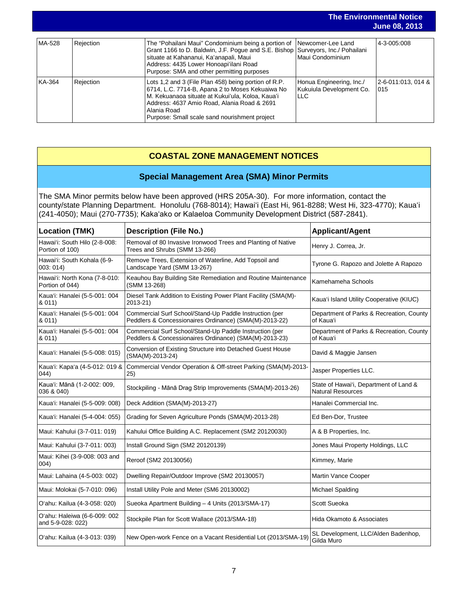|        |           |                                                                                                                                                                                                                                                                                              |                                                                    | <b>The Environmental Notice</b><br><b>June 08, 2013</b> |
|--------|-----------|----------------------------------------------------------------------------------------------------------------------------------------------------------------------------------------------------------------------------------------------------------------------------------------------|--------------------------------------------------------------------|---------------------------------------------------------|
| MA-528 | Rejection | The "Pohailani Maui" Condominium being a portion of   Newcomer-Lee Land<br>Grant 1166 to D. Baldwin, J.F. Poque and S.E. Bishop Surveyors, Inc./ Pohailani<br>situate at Kahananui, Ka'anapali, Maui<br>Address: 4435 Lower Honoapi'ilani Road<br>Purpose: SMA and other permitting purposes | Maui Condominium                                                   | 4-3-005:008                                             |
| KA-364 | Rejection | Lots 1,2 and 3 (File Plan 458) being portion of R.P.<br>6714, L.C. 7714-B, Apana 2 to Moses Kekuaiwa No<br>M. Kekuanaoa situate at Kukui'ula, Koloa, Kaua'i<br>Address: 4637 Amio Road, Alania Road & 2691<br>Alania Road<br>Purpose: Small scale sand nourishment project                   | Honua Engineering, Inc./<br>Kukuiula Development Co.<br><b>LLC</b> | l2-6-011:013. 014 &<br>015                              |

#### **COASTAL ZONE MANAGEMENT NOTICES**

#### **Special Management Area (SMA) Minor Permits**

The SMA Minor permits below have been approved (HRS 205A-30). For more information, contact the county/state Planning Department. Honolulu (768-8014); Hawaiʻi (East Hi, 961-8288; West Hi, 323-4770); Kauaʻi (241-4050); Maui (270-7735); Kakaʻako or Kalaeloa Community Development District (587-2841).

| <b>Location (TMK)</b>                             | <b>Description (File No.)</b>                                                                                     | <b>Applicant/Agent</b>                                             |
|---------------------------------------------------|-------------------------------------------------------------------------------------------------------------------|--------------------------------------------------------------------|
| Hawai'i: South Hilo (2-8-008:<br>Portion of 100)  | Removal of 80 Invasive Ironwood Trees and Planting of Native<br>Trees and Shrubs (SMM 13-266)                     | Henry J. Correa, Jr.                                               |
| Hawai'i: South Kohala (6-9-<br>003:014            | Remove Trees, Extension of Waterline, Add Topsoil and<br>Landscape Yard (SMM 13-267)                              | Tyrone G. Rapozo and Jolette A Rapozo                              |
| Hawai'i: North Kona (7-8-010:<br>Portion of 044)  | Keauhou Bay Building Site Remediation and Routine Maintenance<br>(SMM 13-268)                                     | Kamehameha Schools                                                 |
| Kaua'i: Hanalei (5-5-001: 004<br>& 011)           | Diesel Tank Addition to Existing Power Plant Facility (SMA(M)-<br>2013-21)                                        | Kaua'i Island Utility Cooperative (KIUC)                           |
| Kaua'i: Hanalei (5-5-001: 004<br>& 011)           | Commercial Surf School/Stand-Up Paddle Instruction (per<br>Peddlers & Concessionaires Ordinance) (SMA(M)-2013-22) | Department of Parks & Recreation, County<br>of Kaua'i              |
| Kaua'i: Hanalei (5-5-001: 004<br>& 011)           | Commercial Surf School/Stand-Up Paddle Instruction (per<br>Peddlers & Concessionaires Ordinance) (SMA(M)-2013-23) | Department of Parks & Recreation, County<br>of Kauaʻi              |
| Kaua'i: Hanalei (5-5-008: 015)                    | Conversion of Existing Structure into Detached Guest House<br>(SMA(M)-2013-24)                                    | David & Maggie Jansen                                              |
| Kaua'i: Kapa'a (4-5-012: 019 &<br>(044)           | Commercial Vendor Operation & Off-street Parking (SMA(M)-2013-<br>25)                                             | Jasper Properties LLC.                                             |
| Kaua'i: Mānā (1-2-002: 009,<br>036 & 040)         | Stockpiling - Mānā Drag Strip Improvements (SMA(M)-2013-26)                                                       | State of Hawai'i, Department of Land &<br><b>Natural Resources</b> |
| Kaua'i: Hanalei (5-5-009: 008)                    | Deck Addition (SMA(M)-2013-27)                                                                                    | Hanalei Commercial Inc.                                            |
| Kaua'i: Hanalei (5-4-004: 055)                    | Grading for Seven Agriculture Ponds (SMA(M)-2013-28)                                                              | Ed Ben-Dor, Trustee                                                |
| Maui: Kahului (3-7-011: 019)                      | Kahului Office Building A.C. Replacement (SM2 20120030)                                                           | A & B Properties, Inc.                                             |
| Maui: Kahului (3-7-011: 003)                      | Install Ground Sign (SM2 20120139)                                                                                | Jones Maui Property Holdings, LLC                                  |
| Maui: Kihei (3-9-008: 003 and<br>004)             | Reroof (SM2 20130056)                                                                                             | Kimmey, Marie                                                      |
| Maui: Lahaina (4-5-003: 002)                      | Dwelling Repair/Outdoor Improve (SM2 20130057)                                                                    | Martin Vance Cooper                                                |
| Maui: Molokai (5-7-010: 096)                      | Install Utility Pole and Meter (SM6 20130002)                                                                     | Michael Spalding                                                   |
| O'ahu: Kailua (4-3-058: 020)                      | Sueoka Apartment Building - 4 Units (2013/SMA-17)                                                                 | Scott Sueoka                                                       |
| O'ahu: Haleiwa (6-6-009: 002<br>and 5-9-028: 022) | Stockpile Plan for Scott Wallace (2013/SMA-18)                                                                    | Hida Okamoto & Associates                                          |
| O'ahu: Kailua (4-3-013: 039)                      | New Open-work Fence on a Vacant Residential Lot (2013/SMA-19)                                                     | SL Development, LLC/Alden Badenhop,<br>Gilda Muro                  |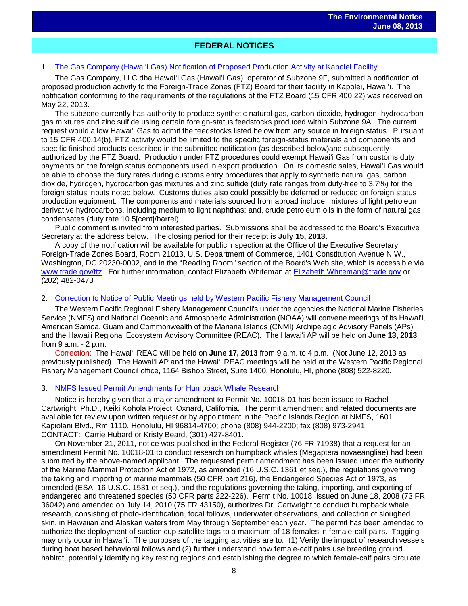# **FEDERAL NOTICES**

#### 1. The Gas Company (Hawaiʻ[i Gas\) Notification of Proposed Production Activity at Kapolei Facility](http://www.gpo.gov/fdsys/pkg/FR-2013-06-03/pdf/2013-13091.pdf)

The Gas Company, LLC dba Hawaiʻi Gas (Hawaiʻi Gas), operator of Subzone 9F, submitted a notification of proposed production activity to the Foreign-Trade Zones (FTZ) Board for their facility in Kapolei, Hawaiʻi. The notification conforming to the requirements of the regulations of the FTZ Board (15 CFR 400.22) was received on May 22, 2013.

The subzone currently has authority to produce synthetic natural gas, carbon dioxide, hydrogen, hydrocarbon gas mixtures and zinc sulfide using certain foreign-status feedstocks produced within Subzone 9A. The current request would allow Hawai'i Gas to admit the feedstocks listed below from any source in foreign status. Pursuant to 15 CFR 400.14(b), FTZ activity would be limited to the specific foreign-status materials and components and specific finished products described in the submitted notification (as described below)and subsequently authorized by the FTZ Board. Production under FTZ procedures could exempt Hawaiʻi Gas from customs duty payments on the foreign status components used in export production. On its domestic sales, Hawaiʻi Gas would be able to choose the duty rates during customs entry procedures that apply to synthetic natural gas, carbon dioxide, hydrogen, hydrocarbon gas mixtures and zinc sulfide (duty rate ranges from duty-free to 3.7%) for the foreign status inputs noted below. Customs duties also could possibly be deferred or reduced on foreign status production equipment. The components and materials sourced from abroad include: mixtures of light petroleum derivative hydrocarbons, including medium to light naphthas; and, crude petroleum oils in the form of natural gas condensates (duty rate 10.5[cent]/barrel).

Public comment is invited from interested parties. Submissions shall be addressed to the Board's Executive Secretary at the address below. The closing period for their receipt is **July 15, 2013.**

A copy of the notification will be available for public inspection at the Office of the Executive Secretary, Foreign-Trade Zones Board, Room 21013, U.S. Department of Commerce, 1401 Constitution Avenue N.W., Washington, DC 20230-0002, and in the "Reading Room" section of the Board's Web site, which is accessible via [www.trade.gov/ftz.](http://www.trade.gov/ftz) For further information, contact Elizabeth Whiteman at [Elizabeth.Whiteman@trade.gov](mailto:Elizabeth.Whiteman@trade.gov) or (202) 482-0473

#### 2. [Correction to Notice of Public Meetings held by Western Pacific Fishery Management Council](http://www.gpo.gov/fdsys/pkg/FR-2013-05-31/pdf/2013-12909.pdf)

The Western Pacific Regional Fishery Management Council's under the agencies the National Marine Fisheries Service (NMFS) and National Oceanic and Atmospheric Administration (NOAA) will convene meetings of its Hawaiʻi, American Samoa, Guam and Commonwealth of the Mariana Islands (CNMI) Archipelagic Advisory Panels (APs) and the Hawaiʻi Regional Ecosystem Advisory Committee (REAC). The Hawaiʻi AP will be held on **June 13, 2013** from 9 a.m. - 2 p.m.

Correction: The Hawaiʻi REAC will be held on **June 17, 2013** from 9 a.m. to 4 p.m. (Not June 12, 2013 as previously published). The Hawaiʻi AP and the Hawaiʻi REAC meetings will be held at the Western Pacific Regional Fishery Management Council office, 1164 Bishop Street, Suite 1400, Honolulu, HI, phone (808) 522-8220.

#### 3. [NMFS Issued Permit Amendments for Humpback Whale Research](http://www.gpo.gov/fdsys/pkg/FR-2013-06-03/pdf/2013-12977.pdf)

Notice is hereby given that a major amendment to Permit No. 10018-01 has been issued to Rachel Cartwright, Ph.D., Keiki Kohola Project, Oxnard, California. The permit amendment and related documents are available for review upon written request or by appointment in the Pacific Islands Region at NMFS, 1601 Kapiolani Blvd., Rm 1110, Honolulu, HI 96814-4700; phone (808) 944-2200; fax (808) 973-2941. CONTACT: Carrie Hubard or Kristy Beard, (301) 427-8401.

On November 21, 2011, notice was published in the Federal Register (76 FR 71938) that a request for an amendment Permit No. 10018-01 to conduct research on humpback whales (Megaptera novaeangliae) had been submitted by the above-named applicant. The requested permit amendment has been issued under the authority of the Marine Mammal Protection Act of 1972, as amended (16 U.S.C. 1361 et seq.), the regulations governing the taking and importing of marine mammals (50 CFR part 216), the Endangered Species Act of 1973, as amended (ESA; 16 U.S.C. 1531 et seq.), and the regulations governing the taking, importing, and exporting of endangered and threatened species (50 CFR parts 222-226). Permit No. 10018, issued on June 18, 2008 (73 FR 36042) and amended on July 14, 2010 (75 FR 43150), authorizes Dr. Cartwright to conduct humpback whale research, consisting of photo-identification, focal follows, underwater observations, and collection of sloughed skin, in Hawaiian and Alaskan waters from May through September each year. The permit has been amended to authorize the deployment of suction cup satellite tags to a maximum of 18 females in female-calf pairs. Tagging may only occur in Hawaiʻi. The purposes of the tagging activities are to: (1) Verify the impact of research vessels during boat based behavioral follows and (2) further understand how female-calf pairs use breeding ground habitat, potentially identifying key resting regions and establishing the degree to which female-calf pairs circulate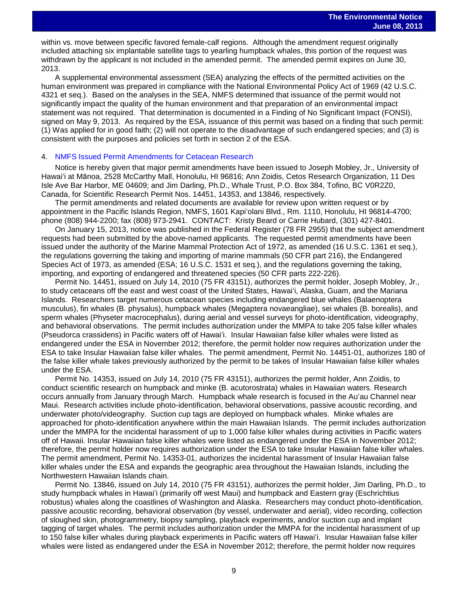within vs. move between specific favored female-calf regions. Although the amendment request originally included attaching six implantable satellite tags to yearling humpback whales, this portion of the request was withdrawn by the applicant is not included in the amended permit. The amended permit expires on June 30, 2013.

A supplemental environmental assessment (SEA) analyzing the effects of the permitted activities on the human environment was prepared in compliance with the National Environmental Policy Act of 1969 (42 U.S.C. 4321 et seq.). Based on the analyses in the SEA, NMFS determined that issuance of the permit would not significantly impact the quality of the human environment and that preparation of an environmental impact statement was not required. That determination is documented in a Finding of No Significant Impact (FONSI), signed on May 9, 2013. As required by the ESA, issuance of this permit was based on a finding that such permit: (1) Was applied for in good faith; (2) will not operate to the disadvantage of such endangered species; and (3) is consistent with the purposes and policies set forth in section 2 of the ESA.

#### 4. [NMFS Issued Permit Amendments for Cetacean Research](http://www.gpo.gov/fdsys/pkg/FR-2013-05-23/pdf/2013-12278.pdf)

Notice is hereby given that major permit amendments have been issued to Joseph Mobley, Jr., University of Hawaiʻi at Mānoa, 2528 McCarthy Mall, Honolulu, HI 96816; Ann Zoidis, Cetos Research Organization, 11 Des Isle Ave Bar Harbor, ME 04609; and Jim Darling, Ph.D., Whale Trust, P.O. Box 384, Tofino, BC V0R2Z0, Canada, for Scientific Research Permit Nos. 14451, 14353, and 13846, respectively.

The permit amendments and related documents are available for review upon written request or by appointment in the Pacific Islands Region, NMFS, 1601 Kapiʻolani Blvd., Rm. 1110, Honolulu, HI 96814-4700; phone (808) 944-2200; fax (808) 973-2941. CONTACT: Kristy Beard or Carrie Hubard, (301) 427-8401.

On January 15, 2013, notice was published in the Federal Register (78 FR 2955) that the subject amendment requests had been submitted by the above-named applicants. The requested permit amendments have been issued under the authority of the Marine Mammal Protection Act of 1972, as amended (16 U.S.C. 1361 et seq.), the regulations governing the taking and importing of marine mammals (50 CFR part 216), the Endangered Species Act of 1973, as amended (ESA; 16 U.S.C. 1531 et seq.), and the regulations governing the taking, importing, and exporting of endangered and threatened species (50 CFR parts 222-226).

Permit No. 14451, issued on July 14, 2010 (75 FR 43151), authorizes the permit holder, Joseph Mobley, Jr., to study cetaceans off the east and west coast of the United States, Hawaiʻi, Alaska, Guam, and the Mariana Islands. Researchers target numerous cetacean species including endangered blue whales (Balaenoptera musculus), fin whales (B. physalus), humpback whales (Megaptera novaeangliae), sei whales (B. borealis), and sperm whales (Physeter macrocephalus), during aerial and vessel surveys for photo-identification, videography, and behavioral observations. The permit includes authorization under the MMPA to take 205 false killer whales (Pseudorca crassidens) in Pacific waters off of Hawaiʻi. Insular Hawaiian false killer whales were listed as endangered under the ESA in November 2012; therefore, the permit holder now requires authorization under the ESA to take Insular Hawaiian false killer whales. The permit amendment, Permit No. 14451-01, authorizes 180 of the false killer whale takes previously authorized by the permit to be takes of Insular Hawaiian false killer whales under the ESA.

Permit No. 14353, issued on July 14, 2010 (75 FR 43151), authorizes the permit holder, Ann Zoidis, to conduct scientific research on humpback and minke (B. acutorostrata) whales in Hawaiian waters. Research occurs annually from January through March. Humpback whale research is focused in the Auʻau Channel near Maui. Research activities include photo-identification, behavioral observations, passive acoustic recording, and underwater photo/videography. Suction cup tags are deployed on humpback whales. Minke whales are approached for photo-identification anywhere within the main Hawaiian Islands. The permit includes authorization under the MMPA for the incidental harassment of up to 1,000 false killer whales during activities in Pacific waters off of Hawaii. Insular Hawaiian false killer whales were listed as endangered under the ESA in November 2012; therefore, the permit holder now requires authorization under the ESA to take Insular Hawaiian false killer whales. The permit amendment, Permit No. 14353-01, authorizes the incidental harassment of Insular Hawaiian false killer whales under the ESA and expands the geographic area throughout the Hawaiian Islands, including the Northwestern Hawaiian Islands chain.

Permit No. 13846, issued on July 14, 2010 (75 FR 43151), authorizes the permit holder, Jim Darling, Ph.D., to study humpback whales in Hawaiʻi (primarily off west Maui) and humpback and Eastern gray (Eschrichtius robustus) whales along the coastlines of Washington and Alaska. Researchers may conduct photo-identification, passive acoustic recording, behavioral observation (by vessel, underwater and aerial), video recording, collection of sloughed skin, photogrammetry, biopsy sampling, playback experiments, and/or suction cup and implant tagging of target whales. The permit includes authorization under the MMPA for the incidental harassment of up to 150 false killer whales during playback experiments in Pacific waters off Hawaiʻi. Insular Hawaiian false killer whales were listed as endangered under the ESA in November 2012; therefore, the permit holder now requires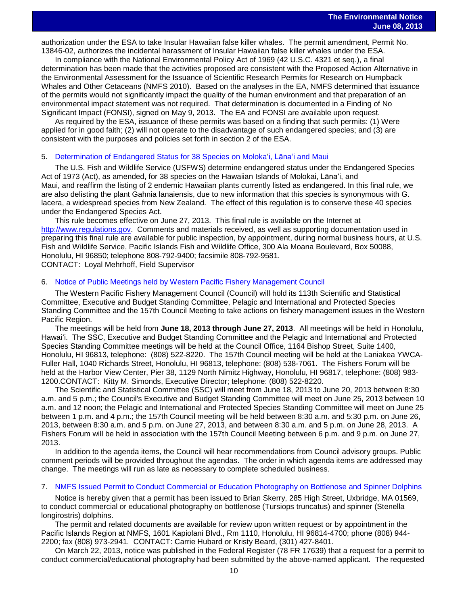authorization under the ESA to take Insular Hawaiian false killer whales. The permit amendment, Permit No. 13846-02, authorizes the incidental harassment of Insular Hawaiian false killer whales under the ESA.

In compliance with the National Environmental Policy Act of 1969 (42 U.S.C. 4321 et seq.), a final determination has been made that the activities proposed are consistent with the Proposed Action Alternative in the Environmental Assessment for the Issuance of Scientific Research Permits for Research on Humpback Whales and Other Cetaceans (NMFS 2010). Based on the analyses in the EA, NMFS determined that issuance of the permits would not significantly impact the quality of the human environment and that preparation of an environmental impact statement was not required. That determination is documented in a Finding of No Significant Impact (FONSI), signed on May 9, 2013. The EA and FONSI are available upon request.

As required by the ESA, issuance of these permits was based on a finding that such permits: (1) Were applied for in good faith; (2) will not operate to the disadvantage of such endangered species; and (3) are consistent with the purposes and policies set forth in section 2 of the ESA.

#### 5. [Determination of Endangered Status for 38 Species on Moloka](http://www.gpo.gov/fdsys/pkg/FR-2013-05-28/pdf/2013-12105.pdf)ʻi, Lānaʻi and Maui

The U.S. Fish and Wildlife Service (USFWS) determine endangered status under the Endangered Species Act of 1973 (Act), as amended, for 38 species on the Hawaiian Islands of Molokai, Lānaʻi, and Maui, and reaffirm the listing of 2 endemic Hawaiian plants currently listed as endangered. In this final rule, we are also delisting the plant Gahnia lanaiensis, due to new information that this species is synonymous with G. lacera, a widespread species from New Zealand. The effect of this regulation is to conserve these 40 species under the Endangered Species Act.

This rule becomes effective on June 27, 2013. This final rule is available on the Internet at [http://www.regulations.gov.](http://www.regulations.gov/) Comments and materials received, as well as supporting documentation used in preparing this final rule are available for public inspection, by appointment, during normal business hours, at U.S. Fish and Wildlife Service, Pacific Islands Fish and Wildlife Office, 300 Ala Moana Boulevard, Box 50088, Honolulu, HI 96850; telephone 808-792-9400; facsimile 808-792-9581. CONTACT: Loyal Mehrhoff, Field Supervisor

#### 6. [Notice of Public Meetings held by Western Pacific Fishery Management Council](http://www.gpo.gov/fdsys/pkg/FR-2013-05-31/pdf/2013-12910.pdf)

The Western Pacific Fishery Management Council (Council) will hold its 113th Scientific and Statistical Committee, Executive and Budget Standing Committee, Pelagic and International and Protected Species Standing Committee and the 157th Council Meeting to take actions on fishery management issues in the Western Pacific Region.

The meetings will be held from **June 18, 2013 through June 27, 2013**. All meetings will be held in Honolulu, Hawaiʻi. The SSC, Executive and Budget Standing Committee and the Pelagic and International and Protected Species Standing Committee meetings will be held at the Council Office, 1164 Bishop Street, Suite 1400, Honolulu, HI 96813, telephone: (808) 522-8220. The 157th Council meeting will be held at the Laniakea YWCA-Fuller Hall, 1040 Richards Street, Honolulu, HI 96813, telephone: (808) 538-7061. The Fishers Forum will be held at the Harbor View Center, Pier 38, 1129 North Nimitz Highway, Honolulu, HI 96817, telephone: (808) 983- 1200.CONTACT: Kitty M. Simonds, Executive Director; telephone: (808) 522-8220.

The Scientific and Statistical Committee (SSC) will meet from June 18, 2013 to June 20, 2013 between 8:30 a.m. and 5 p.m.; the Council's Executive and Budget Standing Committee will meet on June 25, 2013 between 10 a.m. and 12 noon; the Pelagic and International and Protected Species Standing Committee will meet on June 25 between 1 p.m. and 4 p.m.; the 157th Council meeting will be held between 8:30 a.m. and 5:30 p.m. on June 26, 2013, between 8:30 a.m. and 5 p.m. on June 27, 2013, and between 8:30 a.m. and 5 p.m. on June 28, 2013. A Fishers Forum will be held in association with the 157th Council Meeting between 6 p.m. and 9 p.m. on June 27, 2013.

In addition to the agenda items, the Council will hear recommendations from Council advisory groups. Public comment periods will be provided throughout the agendas. The order in which agenda items are addressed may change. The meetings will run as late as necessary to complete scheduled business.

#### 7. [NMFS Issued Permit to Conduct Commercial or Education Photography on Bottlenose and Spinner Dolphins](http://www.gpo.gov/fdsys/pkg/FR-2013-06-05/pdf/2013-13289.pdf)

Notice is hereby given that a permit has been issued to Brian Skerry, 285 High Street, Uxbridge, MA 01569, to conduct commercial or educational photography on bottlenose (Tursiops truncatus) and spinner (Stenella longirostris) dolphins.

The permit and related documents are available for review upon written request or by appointment in the Pacific Islands Region at NMFS, 1601 Kapiolani Blvd., Rm 1110, Honolulu, HI 96814-4700; phone (808) 944- 2200; fax (808) 973-2941. CONTACT: Carrie Hubard or Kristy Beard, (301) 427-8401.

On March 22, 2013, notice was published in the Federal Register (78 FR 17639) that a request for a permit to conduct commercial/educational photography had been submitted by the above-named applicant. The requested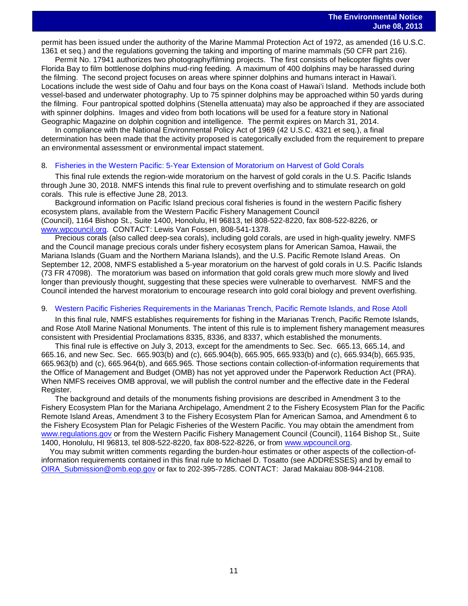permit has been issued under the authority of the Marine Mammal Protection Act of 1972, as amended (16 U.S.C. 1361 et seq.) and the regulations governing the taking and importing of marine mammals (50 CFR part 216).

Permit No. 17941 authorizes two photography/filming projects. The first consists of helicopter flights over Florida Bay to film bottlenose dolphins mud-ring feeding. A maximum of 400 dolphins may be harassed during the filming. The second project focuses on areas where spinner dolphins and humans interact in Hawaiʻi. Locations include the west side of Oahu and four bays on the Kona coast of Hawaiʻi Island. Methods include both vessel-based and underwater photography. Up to 75 spinner dolphins may be approached within 50 yards during the filming. Four pantropical spotted dolphins (Stenella attenuata) may also be approached if they are associated with spinner dolphins. Images and video from both locations will be used for a feature story in National Geographic Magazine on dolphin cognition and intelligence. The permit expires on March 31, 2014.

In compliance with the National Environmental Policy Act of 1969 (42 U.S.C. 4321 et seq.), a final determination has been made that the activity proposed is categorically excluded from the requirement to prepare an environmental assessment or environmental impact statement.

#### 8. [Fisheries in the Western Pacific: 5-Year Extension of Moratorium on Harvest of Gold Corals](http://www.gpo.gov/fdsys/pkg/FR-2013-05-29/pdf/2013-12743.pdf)

This final rule extends the region-wide moratorium on the harvest of gold corals in the U.S. Pacific Islands through June 30, 2018. NMFS intends this final rule to prevent overfishing and to stimulate research on gold corals. This rule is effective June 28, 2013.

Background information on Pacific Island precious coral fisheries is found in the western Pacific fishery ecosystem plans, available from the Western Pacific Fishery Management Council (Council), 1164 Bishop St., Suite 1400, Honolulu, HI 96813, tel 808-522-8220, fax 808-522-8226, or

[www.wpcouncil.org.](http://www.wpcouncil.org/) CONTACT: Lewis Van Fossen, 808-541-1378. Precious corals (also called deep-sea corals), including gold corals, are used in high-quality jewelry. NMFS

and the Council manage precious corals under fishery ecosystem plans for American Samoa, Hawaii, the Mariana Islands (Guam and the Northern Mariana Islands), and the U.S. Pacific Remote Island Areas. On September 12, 2008, NMFS established a 5-year moratorium on the harvest of gold corals in U.S. Pacific Islands (73 FR 47098). The moratorium was based on information that gold corals grew much more slowly and lived longer than previously thought, suggesting that these species were vulnerable to overharvest. NMFS and the Council intended the harvest moratorium to encourage research into gold coral biology and prevent overfishing.

#### 9. Western Pacific Fisheries [Requirements in the Marianas Trench, Pacific Remote Islands, and Rose Atoll](http://www.gpo.gov/fdsys/pkg/FR-2013-06-03/pdf/2013-13113.pdf)

In this final rule, NMFS establishes requirements for fishing in the Marianas Trench, Pacific Remote Islands, and Rose Atoll Marine National Monuments. The intent of this rule is to implement fishery management measures consistent with Presidential Proclamations 8335, 8336, and 8337, which established the monuments.

This final rule is effective on July 3, 2013, except for the amendments to Sec. Sec. 665.13, 665.14, and 665.16, and new Sec. Sec. 665.903(b) and (c), 665.904(b), 665.905, 665.933(b) and (c), 665.934(b), 665.935, 665.963(b) and (c), 665.964(b), and 665.965. Those sections contain collection-of-information requirements that the Office of Management and Budget (OMB) has not yet approved under the Paperwork Reduction Act (PRA). When NMFS receives OMB approval, we will publish the control number and the effective date in the Federal Register.

The background and details of the monuments fishing provisions are described in Amendment 3 to the Fishery Ecosystem Plan for the Mariana Archipelago, Amendment 2 to the Fishery Ecosystem Plan for the Pacific Remote Island Areas, Amendment 3 to the Fishery Ecosystem Plan for American Samoa, and Amendment 6 to the Fishery Ecosystem Plan for Pelagic Fisheries of the Western Pacific. You may obtain the amendment from [www.regulations.gov](http://www.regulations.gov/) or from the Western Pacific Fishery Management Council (Council), 1164 Bishop St., Suite 1400, Honolulu, HI 96813, tel 808-522-8220, fax 808-522-8226, or from [www.wpcouncil.org.](http://www.wpcouncil.org/)

 You may submit written comments regarding the burden-hour estimates or other aspects of the collection-ofinformation requirements contained in this final rule to Michael D. Tosatto (see ADDRESSES) and by email to [OIRA\\_Submission@omb.eop.gov](mailto:OIRA_Submission@omb.eop.gov) or fax to 202-395-7285. CONTACT: Jarad Makaiau 808-944-2108.